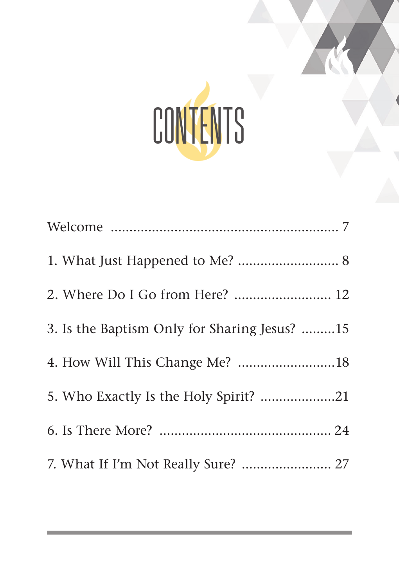

| 1. What Just Happened to Me?  8              |  |
|----------------------------------------------|--|
| 2. Where Do I Go from Here?  12              |  |
| 3. Is the Baptism Only for Sharing Jesus? 15 |  |
|                                              |  |
| 5. Who Exactly Is the Holy Spirit? 21        |  |
|                                              |  |
| 7. What If I'm Not Really Sure?  27          |  |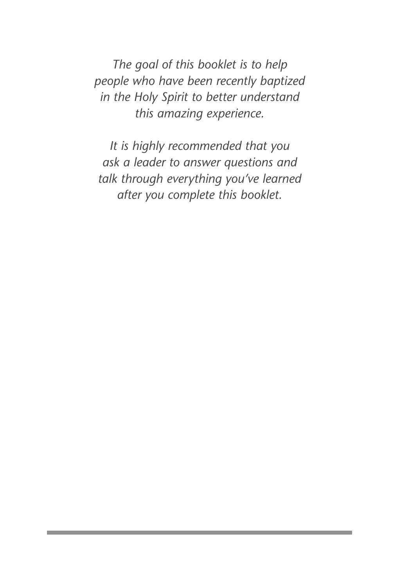*The goal of this booklet is to help people who have been recently baptized in the Holy Spirit to better understand this amazing experience.* 

*It is highly recommended that you ask a leader to answer questions and talk through everything you've learned after you complete this booklet.*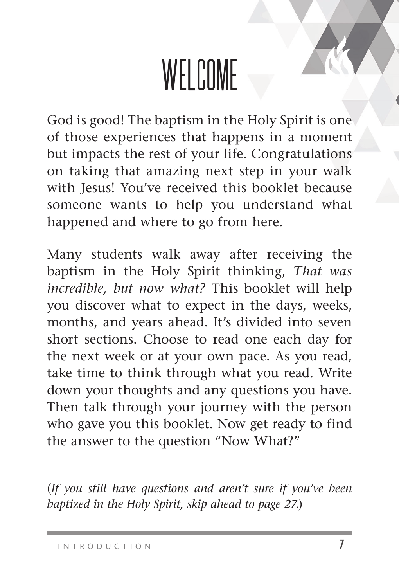# WELCOME

God is good! The baptism in the Holy Spirit is one of those experiences that happens in a moment but impacts the rest of your life. Congratulations on taking that amazing next step in your walk with Jesus! You've received this booklet because someone wants to help you understand what happened and where to go from here.

Many students walk away after receiving the baptism in the Holy Spirit thinking, *That was incredible, but now what?* This booklet will help you discover what to expect in the days, weeks, months, and years ahead. It's divided into seven short sections. Choose to read one each day for the next week or at your own pace. As you read, take time to think through what you read. Write down your thoughts and any questions you have. Then talk through your journey with the person who gave you this booklet. Now get ready to find the answer to the question "Now What?"

(*If you still have questions and aren't sure if you've been baptized in the Holy Spirit, skip ahead to page 27*.)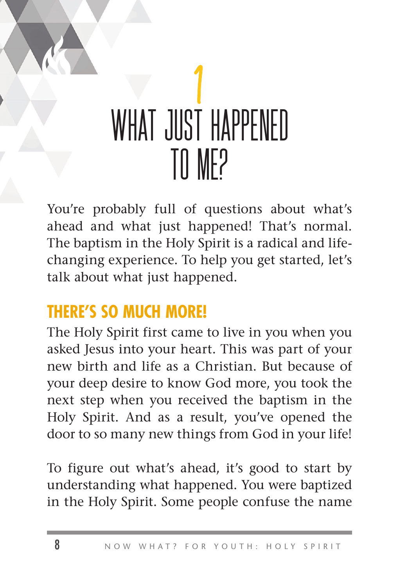## ן<br>ד ש WHAT JUST HAPPENED TO MF?

You're probably full of questions about what's ahead and what just happened! That's normal. The baptism in the Holy Spirit is a radical and lifechanging experience. To help you get started, let's talk about what just happened.

#### **THERE'S SO MUCH MORE!**

The Holy Spirit first came to live in you when you asked Jesus into your heart. This was part of your new birth and life as a Christian. But because of your deep desire to know God more, you took the next step when you received the baptism in the Holy Spirit. And as a result, you've opened the door to so many new things from God in your life!

To figure out what's ahead, it's good to start by understanding what happened. You were baptized in the Holy Spirit. Some people confuse the name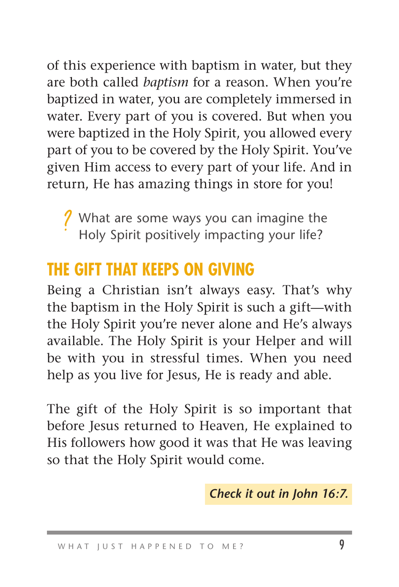of this experience with baptism in water, but they are both called *baptism* for a reason. When you're baptized in water, you are completely immersed in water. Every part of you is covered. But when you were baptized in the Holy Spirit, you allowed every part of you to be covered by the Holy Spirit. You've given Him access to every part of your life. And in return, He has amazing things in store for you!

**//** What are some ways you can imagine the<br>Choly Spirit positively impacting your life? Holy Spirit positively impacting your life?

### **THE GIFT THAT KEEPS ON GIVING**

Being a Christian isn't always easy. That's why the baptism in the Holy Spirit is such a gift—with the Holy Spirit you're never alone and He's always available. The Holy Spirit is your Helper and will be with you in stressful times. When you need help as you live for Jesus, He is ready and able.

The gift of the Holy Spirit is so important that before Jesus returned to Heaven, He explained to His followers how good it was that He was leaving so that the Holy Spirit would come.

 *Check it out in John 16:7.*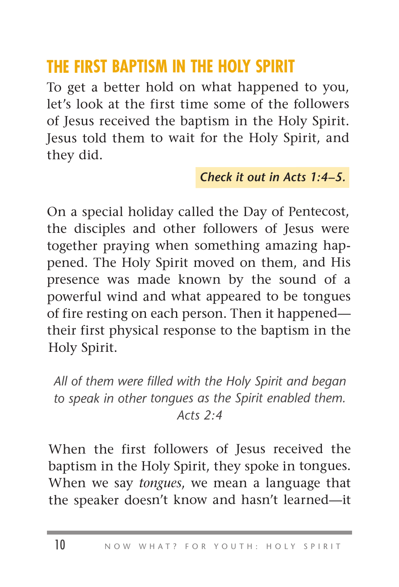### **THE FIRST BAPTISM IN THE HOLY SPIRIT**

To get a better hold on what happened to you, let's look at the first time some of the followers of Jesus received the baptism in the Holy Spirit. Jesus told them to wait for the Holy Spirit, and they did.

#### *Check it out in Acts 1:4–5.*

On a special holiday called the Day of Pentecost, the disciples and other followers of Jesus were together praying when something amazing happened. The Holy Spirit moved on them, and His presence was made known by the sound of a powerful wind and what appeared to be tongues of fire resting on each person. Then it happened their first physical response to the baptism in the Holy Spirit.

*All of them were filled with the Holy Spirit and began to speak in other tongues as the Spirit enabled them. Acts 2:4*

When the first followers of Jesus received the baptism in the Holy Spirit, they spoke in tongues. When we say *tongues*, we mean a language that the speaker doesn't know and hasn't learned—it